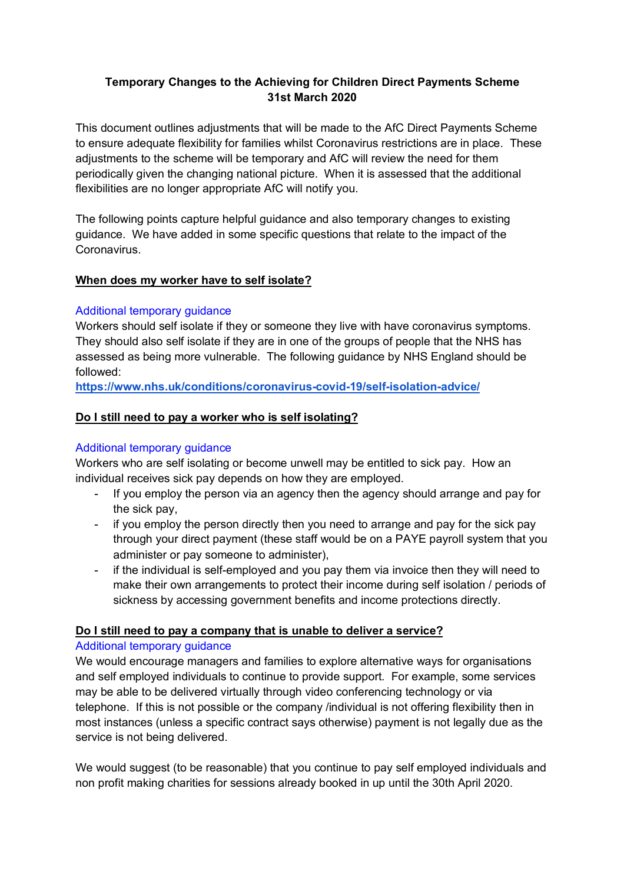### **Temporary Changes to the Achieving for Children Direct Payments Scheme 31st March 2020**

This document outlines adjustments that will be made to the AfC Direct Payments Scheme to ensure adequate flexibility for families whilst Coronavirus restrictions are in place. These adjustments to the scheme will be temporary and AfC will review the need for them periodically given the changing national picture. When it is assessed that the additional flexibilities are no longer appropriate AfC will notify you.

The following points capture helpful guidance and also temporary changes to existing guidance. We have added in some specific questions that relate to the impact of the Coronavirus.

### **When does my worker have to self isolate?**

### Additional temporary guidance

Workers should self isolate if they or someone they live with have coronavirus symptoms. They should also self isolate if they are in one of the groups of people that the NHS has assessed as being more vulnerable. The following guidance by NHS England should be followed:

**https://www.nhs.uk/conditions/coronavirus-covid-19/self-isolation-advice/**

## **Do I still need to pay a worker who is self isolating?**

### Additional temporary guidance

Workers who are self isolating or become unwell may be entitled to sick pay. How an individual receives sick pay depends on how they are employed.

- If you employ the person via an agency then the agency should arrange and pay for the sick pay,
- if you employ the person directly then you need to arrange and pay for the sick pay through your direct payment (these staff would be on a PAYE payroll system that you administer or pay someone to administer),
- if the individual is self-employed and you pay them via invoice then they will need to make their own arrangements to protect their income during self isolation / periods of sickness by accessing government benefits and income protections directly.

#### **Do I still need to pay a company that is unable to deliver a service?**

#### Additional temporary guidance

We would encourage managers and families to explore alternative ways for organisations and self employed individuals to continue to provide support. For example, some services may be able to be delivered virtually through video conferencing technology or via telephone. If this is not possible or the company /individual is not offering flexibility then in most instances (unless a specific contract says otherwise) payment is not legally due as the service is not being delivered.

We would suggest (to be reasonable) that you continue to pay self employed individuals and non profit making charities for sessions already booked in up until the 30th April 2020.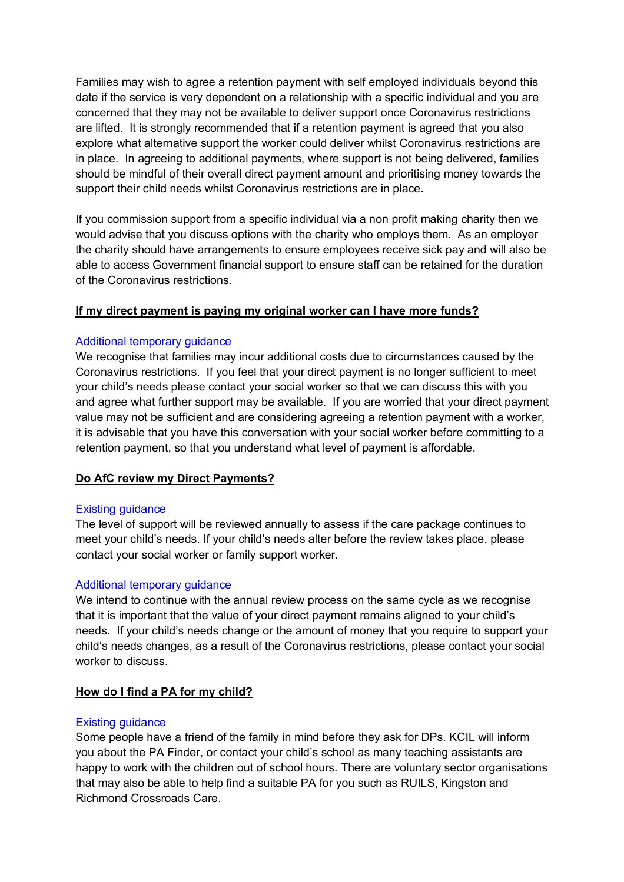Families may wish to agree a retention payment with self employed individuals beyond this date if the service is very dependent on a relationship with a specific individual and you are concerned that they may not be available to deliver support once Coronavirus restrictions are lifted. It is strongly recommended that if a retention payment is agreed that you also explore what alternative support the worker could deliver whilst Coronavirus restrictions are in place. In agreeing to additional payments, where support is not being delivered, families should be mindful of their overall direct payment amount and prioritising money towards the support their child needs whilst Coronavirus restrictions are in place.

If you commission support from a specific individual via a non profit making charity then we would advise that you discuss options with the charity who employs them. As an employer the charity should have arrangements to ensure employees receive sick pay and will also be able to access Government financial support to ensure staff can be retained for the duration of the Coronavirus restrictions.

#### **If my direct payment is paying my original worker can I have more funds?**

#### Additional temporary guidance

We recognise that families may incur additional costs due to circumstances caused by the Coronavirus restrictions. If you feel that your direct payment is no longer sufficient to meet your child's needs please contact your social worker so that we can discuss this with you and agree what further support may be available. If you are worried that your direct payment value may not be sufficient and are considering agreeing a retention payment with a worker, it is advisable that you have this conversation with your social worker before committing to a retention payment, so that you understand what level of payment is affordable.

## **Do AfC review my Direct Payments?**

#### Existing guidance

The level of support will be reviewed annually to assess if the care package continues to meet your child's needs. If your child's needs alter before the review takes place, please contact your social worker or family support worker.

#### Additional temporary guidance

We intend to continue with the annual review process on the same cycle as we recognise that it is important that the value of your direct payment remains aligned to your child's needs. If your child's needs change or the amount of money that you require to support your child's needs changes, as a result of the Coronavirus restrictions, please contact your social worker to discuss.

#### **How do I find a PA for my child?**

#### Existing guidance

Some people have a friend of the family in mind before they ask for DPs. KCIL will inform you about the PA Finder, or contact your child's school as many teaching assistants are happy to work with the children out of school hours. There are voluntary sector organisations that may also be able to help find a suitable PA for you such as RUILS, Kingston and Richmond Crossroads Care.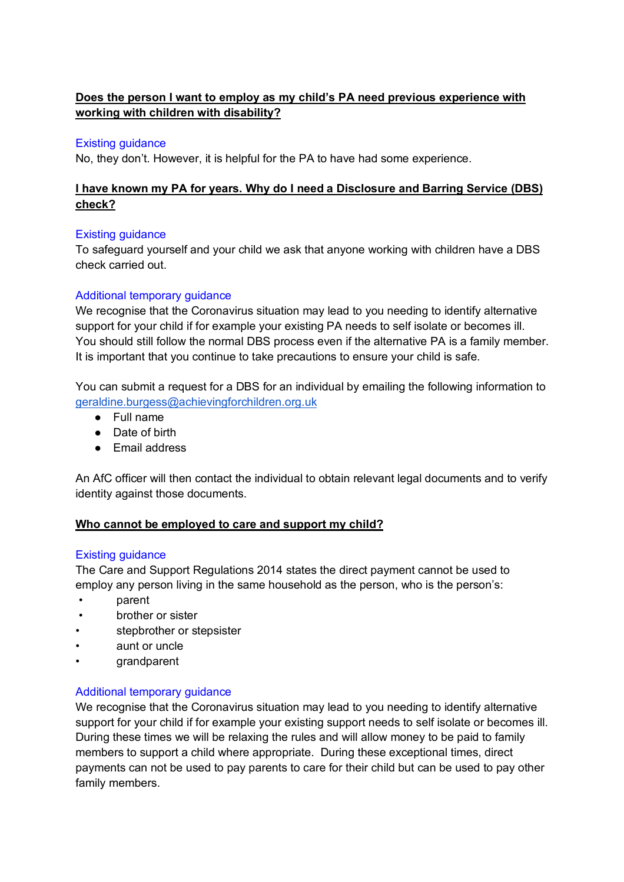# **Does the person I want to employ as my child's PA need previous experience with working with children with disability?**

### Existing guidance

No, they don't. However, it is helpful for the PA to have had some experience.

### **I have known my PA for years. Why do I need a Disclosure and Barring Service (DBS) check?**

### Existing guidance

To safeguard yourself and your child we ask that anyone working with children have a DBS check carried out.

### Additional temporary guidance

We recognise that the Coronavirus situation may lead to you needing to identify alternative support for your child if for example your existing PA needs to self isolate or becomes ill. You should still follow the normal DBS process even if the alternative PA is a family member. It is important that you continue to take precautions to ensure your child is safe.

You can submit a request for a DBS for an individual by emailing the following information to geraldine.burgess@achievingforchildren.org.uk

- Full name
- Date of birth
- Email address

An AfC officer will then contact the individual to obtain relevant legal documents and to verify identity against those documents.

#### **Who cannot be employed to care and support my child?**

#### Existing guidance

The Care and Support Regulations 2014 states the direct payment cannot be used to employ any person living in the same household as the person, who is the person's:

- parent
- brother or sister
- stepbrother or stepsister
- aunt or uncle
- grandparent

#### Additional temporary guidance

We recognise that the Coronavirus situation may lead to you needing to identify alternative support for your child if for example your existing support needs to self isolate or becomes ill. During these times we will be relaxing the rules and will allow money to be paid to family members to support a child where appropriate. During these exceptional times, direct payments can not be used to pay parents to care for their child but can be used to pay other family members.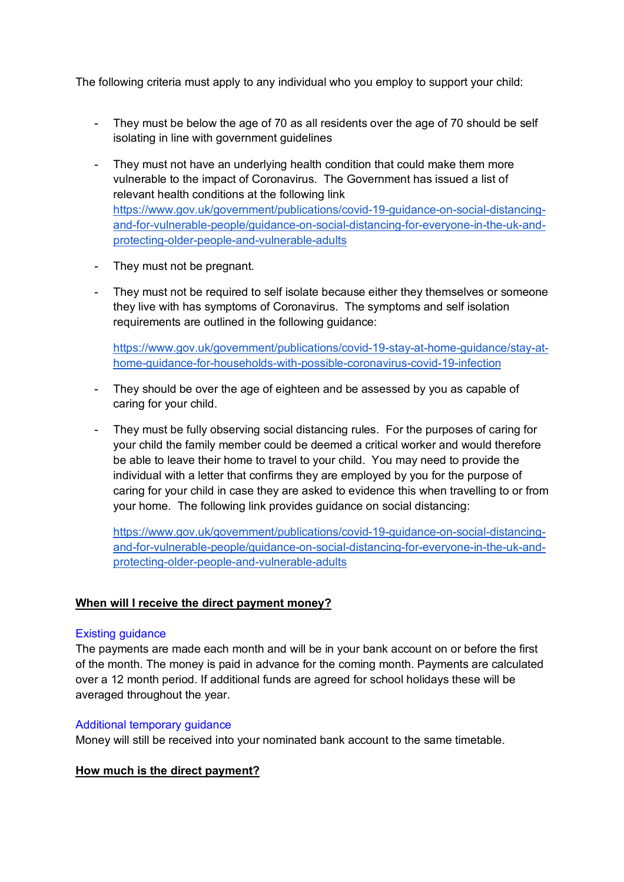The following criteria must apply to any individual who you employ to support your child:

- They must be below the age of 70 as all residents over the age of 70 should be self isolating in line with government guidelines
- They must not have an underlying health condition that could make them more vulnerable to the impact of Coronavirus. The Government has issued a list of relevant health conditions at the following link https://www.gov.uk/government/publications/covid-19-guidance-on-social-distancingand-for-vulnerable-people/guidance-on-social-distancing-for-everyone-in-the-uk-andprotecting-older-people-and-vulnerable-adults
- They must not be pregnant.
- They must not be required to self isolate because either they themselves or someone they live with has symptoms of Coronavirus. The symptoms and self isolation requirements are outlined in the following guidance:

https://www.gov.uk/government/publications/covid-19-stay-at-home-guidance/stay-athome-guidance-for-households-with-possible-coronavirus-covid-19-infection

- They should be over the age of eighteen and be assessed by you as capable of caring for your child.
- They must be fully observing social distancing rules. For the purposes of caring for your child the family member could be deemed a critical worker and would therefore be able to leave their home to travel to your child. You may need to provide the individual with a letter that confirms they are employed by you for the purpose of caring for your child in case they are asked to evidence this when travelling to or from your home. The following link provides guidance on social distancing:

https://www.gov.uk/government/publications/covid-19-guidance-on-social-distancingand-for-vulnerable-people/guidance-on-social-distancing-for-everyone-in-the-uk-andprotecting-older-people-and-vulnerable-adults

#### **When will I receive the direct payment money?**

#### Existing guidance

The payments are made each month and will be in your bank account on or before the first of the month. The money is paid in advance for the coming month. Payments are calculated over a 12 month period. If additional funds are agreed for school holidays these will be averaged throughout the year.

#### Additional temporary guidance

Money will still be received into your nominated bank account to the same timetable.

## **How much is the direct payment?**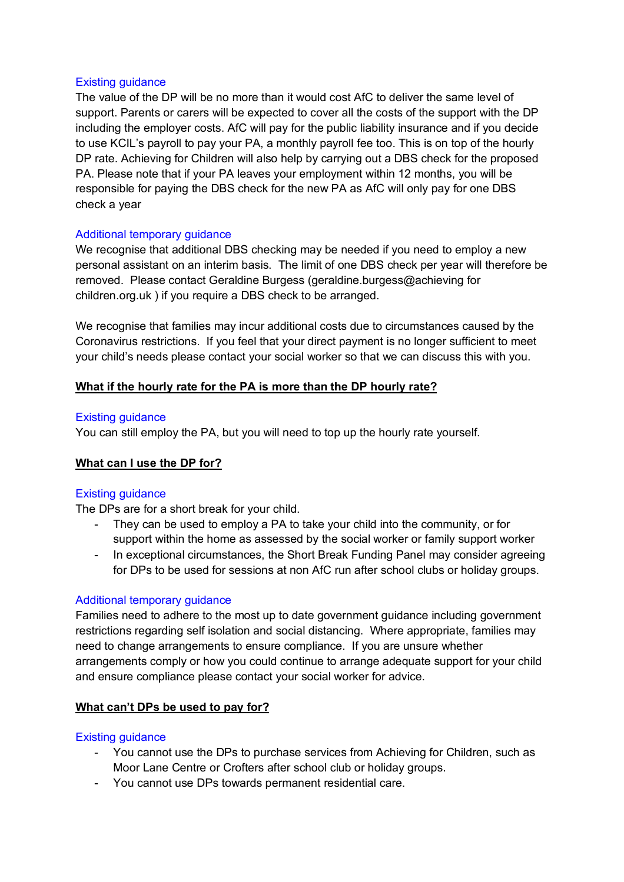#### Existing guidance

The value of the DP will be no more than it would cost AfC to deliver the same level of support. Parents or carers will be expected to cover all the costs of the support with the DP including the employer costs. AfC will pay for the public liability insurance and if you decide to use KCIL's payroll to pay your PA, a monthly payroll fee too. This is on top of the hourly DP rate. Achieving for Children will also help by carrying out a DBS check for the proposed PA. Please note that if your PA leaves your employment within 12 months, you will be responsible for paying the DBS check for the new PA as AfC will only pay for one DBS check a year

#### Additional temporary guidance

We recognise that additional DBS checking may be needed if you need to employ a new personal assistant on an interim basis. The limit of one DBS check per year will therefore be removed. Please contact Geraldine Burgess (geraldine.burgess@achieving for children.org.uk ) if you require a DBS check to be arranged.

We recognise that families may incur additional costs due to circumstances caused by the Coronavirus restrictions. If you feel that your direct payment is no longer sufficient to meet your child's needs please contact your social worker so that we can discuss this with you.

#### **What if the hourly rate for the PA is more than the DP hourly rate?**

#### Existing guidance

You can still employ the PA, but you will need to top up the hourly rate yourself.

#### **What can I use the DP for?**

#### Existing guidance

The DPs are for a short break for your child.

- They can be used to employ a PA to take your child into the community, or for support within the home as assessed by the social worker or family support worker
- In exceptional circumstances, the Short Break Funding Panel may consider agreeing for DPs to be used for sessions at non AfC run after school clubs or holiday groups.

#### Additional temporary guidance

Families need to adhere to the most up to date government guidance including government restrictions regarding self isolation and social distancing. Where appropriate, families may need to change arrangements to ensure compliance. If you are unsure whether arrangements comply or how you could continue to arrange adequate support for your child and ensure compliance please contact your social worker for advice.

#### **What can't DPs be used to pay for?**

#### Existing guidance

- You cannot use the DPs to purchase services from Achieving for Children, such as Moor Lane Centre or Crofters after school club or holiday groups.
- You cannot use DPs towards permanent residential care.